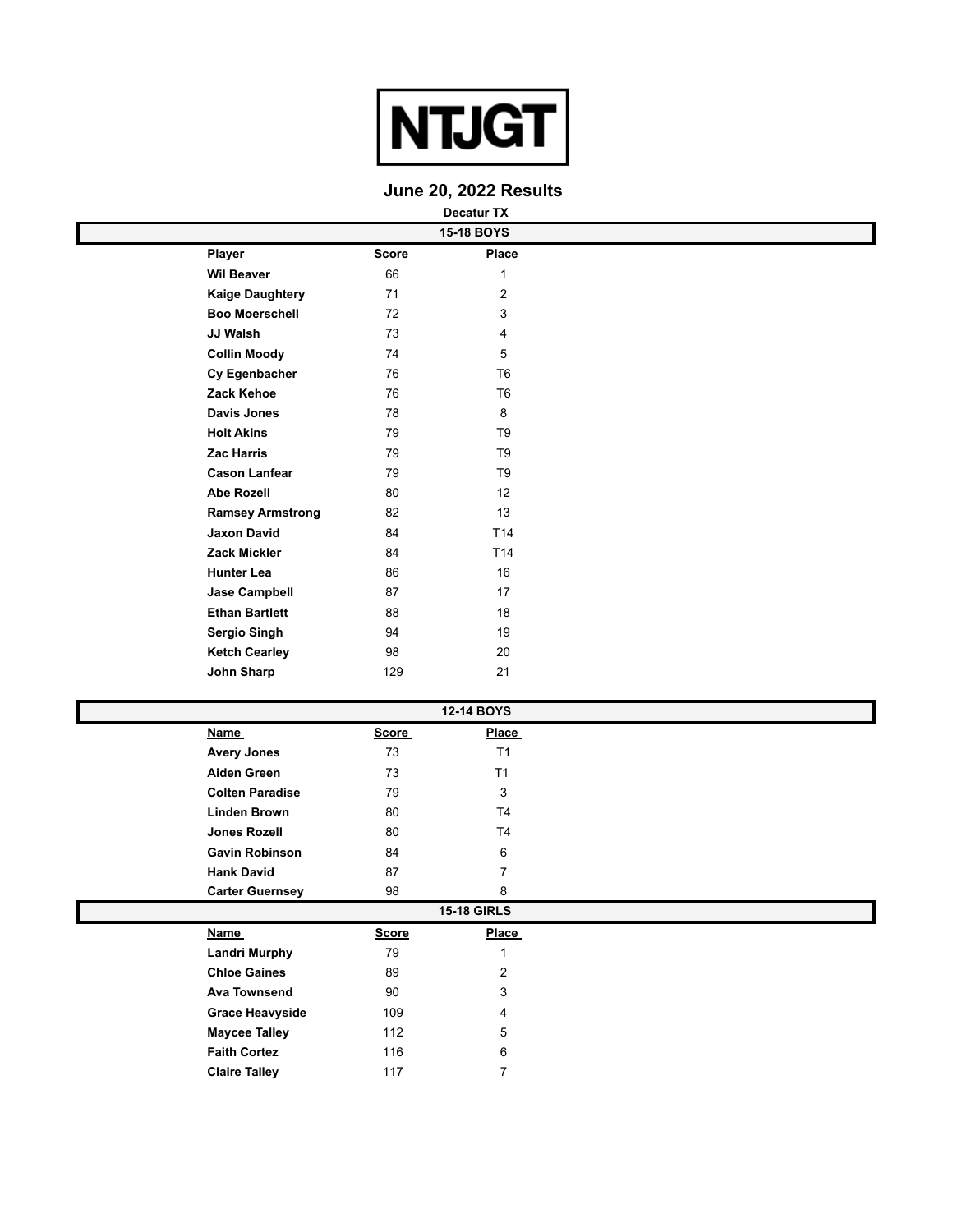

## **June 20, 2022 Results**

|                         |              | <b>Decatur TX</b> |  |
|-------------------------|--------------|-------------------|--|
|                         |              | <b>15-18 BOYS</b> |  |
| <b>Player</b>           | <b>Score</b> | <b>Place</b>      |  |
| <b>Wil Beaver</b>       | 66           | 1                 |  |
| <b>Kaige Daughtery</b>  | 71           | $\overline{2}$    |  |
| <b>Boo Moerschell</b>   | 72           | 3                 |  |
| JJ Walsh                | 73           | 4                 |  |
| <b>Collin Moody</b>     | 74           | 5                 |  |
| Cy Egenbacher           | 76           | T <sub>6</sub>    |  |
| Zack Kehoe              | 76           | T <sub>6</sub>    |  |
| <b>Davis Jones</b>      | 78           | 8                 |  |
| <b>Holt Akins</b>       | 79           | T <sub>9</sub>    |  |
| <b>Zac Harris</b>       | 79           | T <sub>9</sub>    |  |
| <b>Cason Lanfear</b>    | 79           | T <sub>9</sub>    |  |
| <b>Abe Rozell</b>       | 80           | 12                |  |
| <b>Ramsey Armstrong</b> | 82           | 13                |  |
| <b>Jaxon David</b>      | 84           | T <sub>14</sub>   |  |
| <b>Zack Mickler</b>     | 84           | T <sub>14</sub>   |  |
| <b>Hunter Lea</b>       | 86           | 16                |  |
| <b>Jase Campbell</b>    | 87           | 17                |  |
| <b>Ethan Bartlett</b>   | 88           | 18                |  |
| <b>Sergio Singh</b>     | 94           | 19                |  |
| <b>Ketch Cearley</b>    | 98           | 20                |  |
| <b>John Sharp</b>       | 129          | 21                |  |

|                        |              | 12-14 BOYS         |  |
|------------------------|--------------|--------------------|--|
| <b>Name</b>            | <b>Score</b> | <b>Place</b>       |  |
| <b>Avery Jones</b>     | 73           | T <sub>1</sub>     |  |
| <b>Aiden Green</b>     | 73           | T1                 |  |
| <b>Colten Paradise</b> | 79           | 3                  |  |
| <b>Linden Brown</b>    | 80           | T <sub>4</sub>     |  |
| Jones Rozell           | 80           | T <sub>4</sub>     |  |
| <b>Gavin Robinson</b>  | 84           | 6                  |  |
| <b>Hank David</b>      | 87           | 7                  |  |
| <b>Carter Guernsey</b> | 98           | 8                  |  |
|                        |              | <b>15-18 GIRLS</b> |  |
| <b>Name</b>            | <b>Score</b> | <b>Place</b>       |  |
| <b>Landri Murphy</b>   | 79           | $\mathbf{1}$       |  |
| <b>Chloe Gaines</b>    | 89           | 2                  |  |
| <b>Ava Townsend</b>    | 90           | 3                  |  |
| <b>Grace Heavyside</b> | 109          | 4                  |  |
| <b>Maycee Talley</b>   | 112          | 5                  |  |
| <b>Faith Cortez</b>    | 116          | 6                  |  |
| <b>Claire Talley</b>   | 117          | 7                  |  |
|                        |              |                    |  |